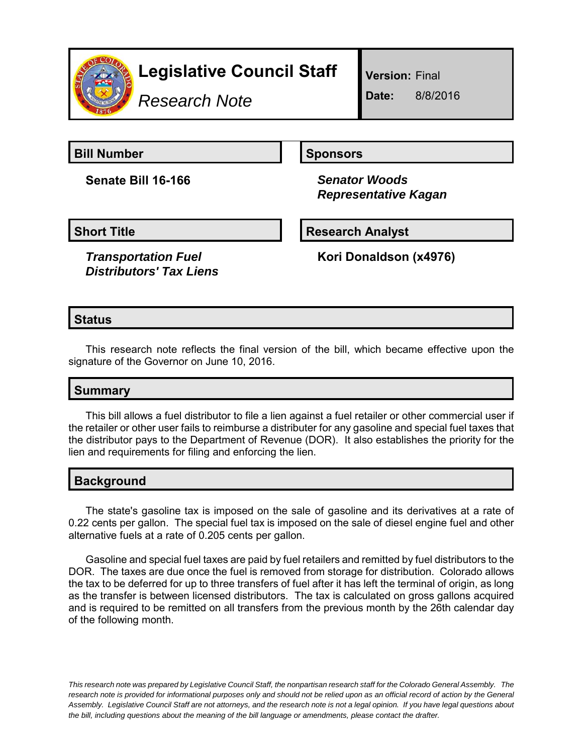

# **Legislative Council Staff**

*Research Note*

**Version:** Final

**Date:** 8/8/2016

**Bill Number Sponsors** 

**Senate Bill 16-166** *Senator Woods*

 *Representative Kagan*

**Short Title Community Community Community Research Analyst** 

*Transportation Fuel Distributors' Tax Liens* **Kori Donaldson (x4976)**

## **Status**

This research note reflects the final version of the bill, which became effective upon the signature of the Governor on June 10, 2016.

## **Summary**

This bill allows a fuel distributor to file a lien against a fuel retailer or other commercial user if the retailer or other user fails to reimburse a distributer for any gasoline and special fuel taxes that the distributor pays to the Department of Revenue (DOR). It also establishes the priority for the lien and requirements for filing and enforcing the lien.

## **Background**

The state's gasoline tax is imposed on the sale of gasoline and its derivatives at a rate of 0.22 cents per gallon. The special fuel tax is imposed on the sale of diesel engine fuel and other alternative fuels at a rate of 0.205 cents per gallon.

Gasoline and special fuel taxes are paid by fuel retailers and remitted by fuel distributors to the DOR. The taxes are due once the fuel is removed from storage for distribution. Colorado allows the tax to be deferred for up to three transfers of fuel after it has left the terminal of origin, as long as the transfer is between licensed distributors. The tax is calculated on gross gallons acquired and is required to be remitted on all transfers from the previous month by the 26th calendar day of the following month.

*This research note was prepared by Legislative Council Staff, the nonpartisan research staff for the Colorado General Assembly. The research note is provided for informational purposes only and should not be relied upon as an official record of action by the General Assembly. Legislative Council Staff are not attorneys, and the research note is not a legal opinion. If you have legal questions about the bill, including questions about the meaning of the bill language or amendments, please contact the drafter.*